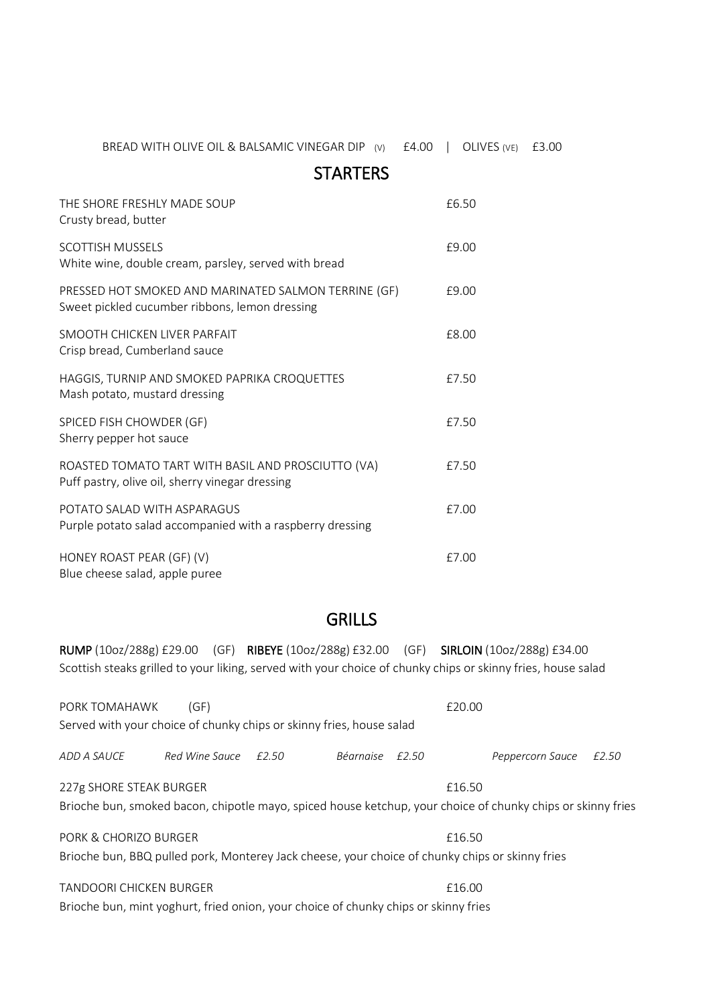| BREAD WITH OLIVE OIL & BALSAMIC VINEGAR DIP (v) £4.00   OLIVES (VE) £3.00 |  |  |  |  |  |
|---------------------------------------------------------------------------|--|--|--|--|--|
|---------------------------------------------------------------------------|--|--|--|--|--|

**STARTERS** 

| THE SHORE FRESHLY MADE SOUP<br>Crusty bread, butter                                                    | £6.50 |
|--------------------------------------------------------------------------------------------------------|-------|
| <b>SCOTTISH MUSSELS</b><br>White wine, double cream, parsley, served with bread                        | £9.00 |
| PRESSED HOT SMOKED AND MARINATED SALMON TERRINE (GF)<br>Sweet pickled cucumber ribbons, lemon dressing | £9.00 |
| SMOOTH CHICKEN LIVER PARFAIT<br>Crisp bread, Cumberland sauce                                          | £8.00 |
| HAGGIS, TURNIP AND SMOKED PAPRIKA CROQUETTES<br>Mash potato, mustard dressing                          | £7.50 |
| SPICED FISH CHOWDER (GF)<br>Sherry pepper hot sauce                                                    | £7.50 |
| ROASTED TOMATO TART WITH BASIL AND PROSCIUTTO (VA)<br>Puff pastry, olive oil, sherry vinegar dressing  | £7.50 |
| POTATO SALAD WITH ASPARAGUS<br>Purple potato salad accompanied with a raspberry dressing               | £7.00 |
| HONEY ROAST PEAR (GF) (V)<br>Blue cheese salad, apple puree                                            | £7.00 |

## GRILLS

RUMP (10oz/288g) £29.00 (GF) RIBEYE (10oz/288g) £32.00 (GF) SIRLOIN (10oz/288g) £34.00 Scottish steaks grilled to your liking, served with your choice of chunky chips or skinny fries, house salad

| PORK TOMAHAWK                                                                                                                                    | (GF)                 | £20.00 |           |       |  |                  |       |
|--------------------------------------------------------------------------------------------------------------------------------------------------|----------------------|--------|-----------|-------|--|------------------|-------|
| Served with your choice of chunky chips or skinny fries, house salad                                                                             |                      |        |           |       |  |                  |       |
| ADD A SAUCE                                                                                                                                      | Red Wine Sauce £2.50 |        | Béarnaise | £2.50 |  | Peppercorn Sauce | £2.50 |
| 227g SHORE STEAK BURGER<br>£16.50<br>Brioche bun, smoked bacon, chipotle mayo, spiced house ketchup, your choice of chunky chips or skinny fries |                      |        |           |       |  |                  |       |
| PORK & CHORIZO BURGER                                                                                                                            |                      |        | £16.50    |       |  |                  |       |
| Brioche bun, BBQ pulled pork, Monterey Jack cheese, your choice of chunky chips or skinny fries                                                  |                      |        |           |       |  |                  |       |
| <b>TANDOORI CHICKEN BURGER</b><br>£16.00<br>Brioche bun, mint yoghurt, fried onion, your choice of chunky chips or skinny fries                  |                      |        |           |       |  |                  |       |